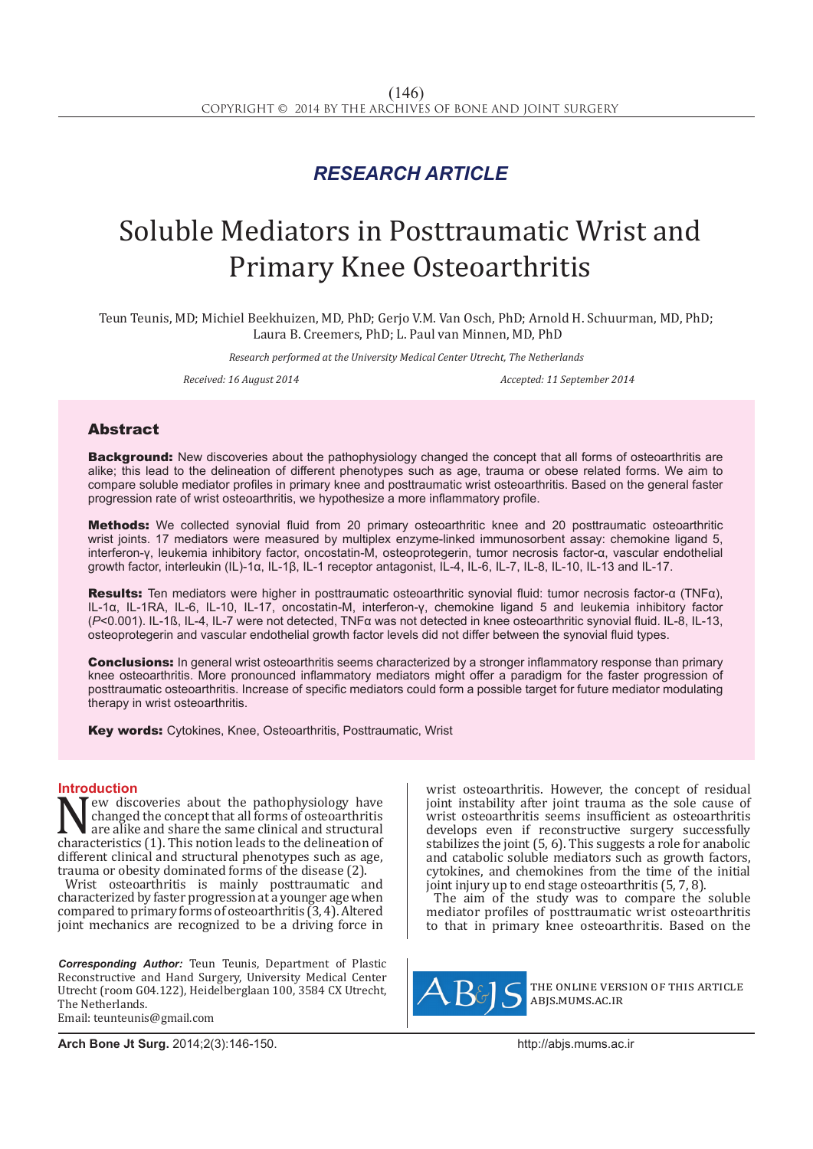## *RESEARCH ARTICLE*

# Soluble Mediators in Posttraumatic Wrist and Primary Knee Osteoarthritis

Teun Teunis, MD; Michiel Beekhuizen, MD, PhD; Gerjo V.M. Van Osch, PhD; Arnold H. Schuurman, MD, PhD; Laura B. Creemers, PhD; L. Paul van Minnen, MD, PhD

*Research performed at the University Medical Center Utrecht, The Netherlands*

*Received: 16 August 2014 Accepted: 11 September 2014*

### Abstract

**Background:** New discoveries about the pathophysiology changed the concept that all forms of osteoarthritis are alike; this lead to the delineation of different phenotypes such as age, trauma or obese related forms. We aim to compare soluble mediator profiles in primary knee and posttraumatic wrist osteoarthritis. Based on the general faster progression rate of wrist osteoarthritis, we hypothesize a more inflammatory profile.

Methods: We collected synovial fluid from 20 primary osteoarthritic knee and 20 posttraumatic osteoarthritic wrist joints. 17 mediators were measured by multiplex enzyme-linked immunosorbent assay: chemokine ligand 5, interferon-γ, leukemia inhibitory factor, oncostatin-M, osteoprotegerin, tumor necrosis factor-α, vascular endothelial growth factor, interleukin (IL)-1α, IL-1β, IL-1 receptor antagonist, IL-4, IL-6, IL-7, IL-8, IL-10, IL-13 and IL-17.

Results: Ten mediators were higher in posttraumatic osteoarthritic synovial fluid: tumor necrosis factor-α (TNFα), IL-1α, IL-1RA, IL-6, IL-10, IL-17, oncostatin-M, interferon-γ, chemokine ligand 5 and leukemia inhibitory factor (*P*<0.001). IL-1ß, IL-4, IL-7 were not detected, TNFα was not detected in knee osteoarthritic synovial fluid. IL-8, IL-13, osteoprotegerin and vascular endothelial growth factor levels did not differ between the synovial fluid types.

**Conclusions:** In general wrist osteoarthritis seems characterized by a stronger inflammatory response than primary knee osteoarthritis. More pronounced inflammatory mediators might offer a paradigm for the faster progression of posttraumatic osteoarthritis. Increase of specific mediators could form a possible target for future mediator modulating therapy in wrist osteoarthritis.

**Key words:** Cytokines, Knee, Osteoarthritis, Posttraumatic, Wrist

**Introduction**<br>**N** Tew discoveries about the pathophysiology have New discoveries about the pathophysiology have<br>changed the concept that all forms of osteoarthritis<br>characteristics (1). This notion leads to the delineation of<br>different clinical and structural phenotypes such as age changed the concept that all forms of osteoarthritis are alike and share the same clinical and structural characteristics (1). This notion leads to the delineation of different clinical and structural phenotypes such as age, trauma or obesity dominated forms of the disease (2).

Wrist osteoarthritis is mainly posttraumatic and characterized by faster progression at a younger age when compared to primary forms of osteoarthritis (3, 4). Altered joint mechanics are recognized to be a driving force in

*Corresponding Author:* Teun Teunis, Department of Plastic Reconstructive and Hand Surgery, University Medical Center Utrecht (room G04.122), Heidelberglaan 100, 3584 CX Utrecht, The Netherlands. Email: teunteunis@gmail.com

wrist osteoarthritis. However, the concept of residual joint instability after joint trauma as the sole cause of wrist osteoarthritis seems insufficient as osteoarthritis develops even if reconstructive surgery successfully stabilizes the joint  $(5, 6)$ . This suggests a role for anabolic and catabolic soluble mediators such as growth factors, cytokines, and chemokines from the time of the initial joint injury up to end stage osteoarthritis (5, 7, 8).

The aim of the study was to compare the soluble mediator profiles of posttraumatic wrist osteoarthritis to that in primary knee osteoarthritis. Based on the



the online version of this article abjs.mums.ac.ir

**Arch Bone Jt Surg.** 2014;2(3):146-150.http://abjs.mums.ac.ir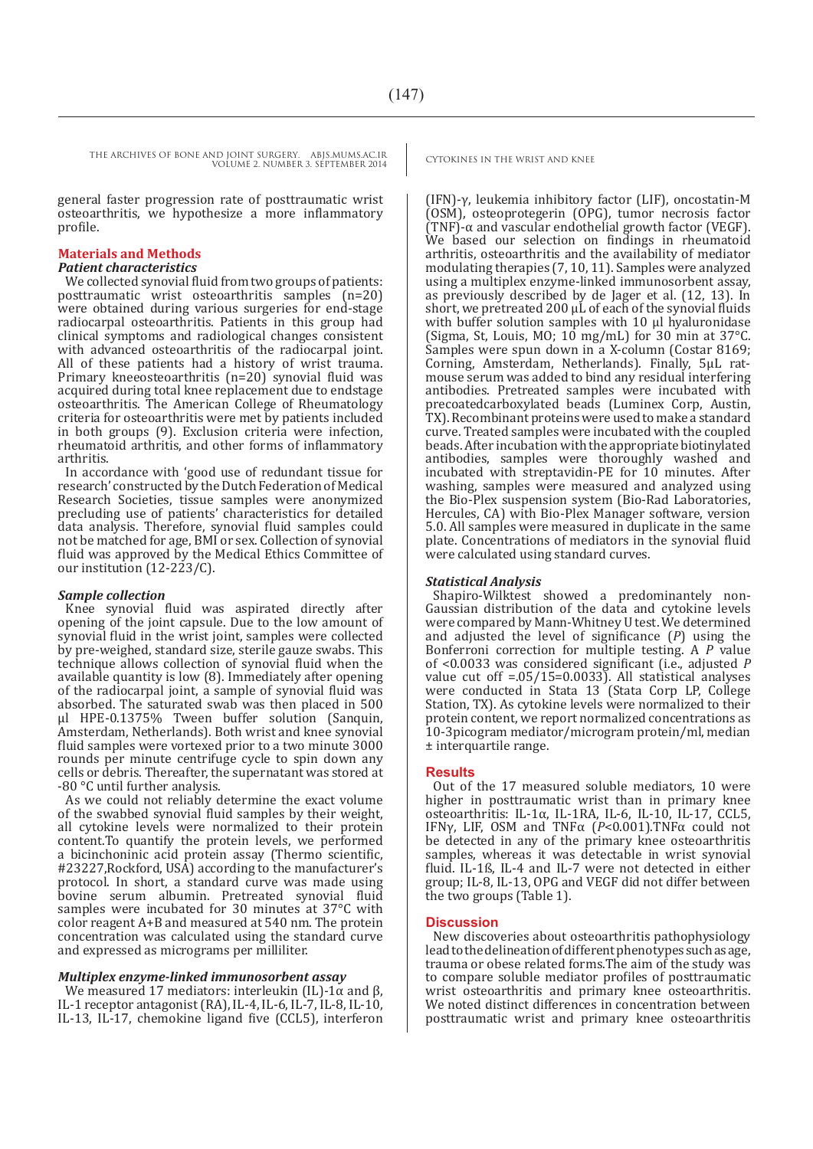general faster progression rate of posttraumatic wrist osteoarthritis, we hypothesize a more inflammatory profile.

#### **Materials and Methods**

#### *Patient characteristics*

We collected synovial fluid from two groups of patients: posttraumatic wrist osteoarthritis samples (n=20) were obtained during various surgeries for end-stage radiocarpal osteoarthritis. Patients in this group had clinical symptoms and radiological changes consistent with advanced osteoarthritis of the radiocarpal joint. All of these patients had a history of wrist trauma. Primary kneeosteoarthritis (n=20) synovial fluid was acquired during total knee replacement due to endstage osteoarthritis. The American College of Rheumatology criteria for osteoarthritis were met by patients included in both groups (9). Exclusion criteria were infection, rheumatoid arthritis, and other forms of inflammatory arthritis.

In accordance with 'good use of redundant tissue for research' constructed by the Dutch Federation of Medical Research Societies, tissue samples were anonymized precluding use of patients' characteristics for detailed data analysis. Therefore, synovial fluid samples could not be matched for age, BMI or sex. Collection of synovial fluid was approved by the Medical Ethics Committee of our institution (12-223/C).

#### *Sample collection*

Knee synovial fluid was aspirated directly after opening of the joint capsule. Due to the low amount of synovial fluid in the wrist joint, samples were collected by pre-weighed, standard size, sterile gauze swabs. This technique allows collection of synovial fluid when the available quantity is low (8). Immediately after opening of the radiocarpal joint, a sample of synovial fluid was absorbed. The saturated swab was then placed in 500 µl HPE-0.1375% Tween buffer solution (Sanquin, Amsterdam, Netherlands). Both wrist and knee synovial fluid samples were vortexed prior to a two minute 3000 rounds per minute centrifuge cycle to spin down any cells or debris. Thereafter, the supernatant was stored at -80 °C until further analysis.

As we could not reliably determine the exact volume of the swabbed synovial fluid samples by their weight, all cytokine levels were normalized to their protein content.To quantify the protein levels, we performed a bicinchoninic acid protein assay (Thermo scientific, #23227,Rockford, USA) according to the manufacturer's protocol. In short, a standard curve was made using bovine serum albumin. Pretreated synovial fluid samples were incubated for 30 minutes at 37°C with color reagent A+B and measured at 540 nm. The protein concentration was calculated using the standard curve and expressed as micrograms per milliliter.

#### *Multiplex enzyme-linked immunosorbent assay*

We measured 17 mediators: interleukin (IL)-1 $\alpha$  and β, IL-1 receptor antagonist (RA), IL-4, IL-6, IL-7, IL-8, IL-10, IL-13, IL-17, chemokine ligand five (CCL5), interferon

(IFN)-γ, leukemia inhibitory factor (LIF), oncostatin-M (OSM), osteoprotegerin (OPG), tumor necrosis factor (TNF)-α and vascular endothelial growth factor (VEGF). We based our selection on findings in rheumatoid arthritis, osteoarthritis and the availability of mediator modulating therapies (7, 10, 11). Samples were analyzed using a multiplex enzyme-linked immunosorbent assay, as previously described by de Jager et al. (12, 13). In short, we pretreated 200 µL of each of the synovial fluids with buffer solution samples with 10 µl hyaluronidase (Sigma, St, Louis, MO;  $10 \text{ mg/mL}$ ) for 30 min at 37°C. Samples were spun down in a X-column (Costar 8169; Corning, Amsterdam, Netherlands). Finally, 5µL ratmouse serum was added to bind any residual interfering antibodies. Pretreated samples were incubated with precoatedcarboxylated beads (Luminex Corp, Austin, TX). Recombinant proteins were used to make a standard curve. Treated samples were incubated with the coupled beads. After incubation with the appropriate biotinylated antibodies, samples were thoroughly washed and incubated with streptavidin-PE for 10 minutes. After washing, samples were measured and analyzed using the Bio-Plex suspension system (Bio-Rad Laboratories, Hercules, CA) with Bio-Plex Manager software, version 5.0. All samples were measured in duplicate in the same plate. Concentrations of mediators in the synovial fluid were calculated using standard curves.

#### *Statistical Analysis*

Shapiro-Wilktest showed a predominantely non-Gaussian distribution of the data and cytokine levels were compared by Mann-Whitney U test. We determined and adjusted the level of significance (*P*) using the Bonferroni correction for multiple testing. A *P* value of <0.0033 was considered significant (i.e., adjusted *P*  value cut off  $= 0.05/15 = 0.0033$ . All statistical analyses were conducted in Stata 13 (Stata Corp LP, College Station, TX). As cytokine levels were normalized to their protein content, we report normalized concentrations as 10-3picogram mediator/microgram protein/ml, median ± interquartile range.

#### **Results**

Out of the 17 measured soluble mediators, 10 were higher in posttraumatic wrist than in primary knee osteoarthritis: IL-1α, IL-1RA, IL-6, IL-10, IL-17, CCL5, IFNγ, LIF, OSM and TNFα (*P*<0.001).TNFα could not be detected in any of the primary knee osteoarthritis samples, whereas it was detectable in wrist synovial fluid. IL-1ß, IL-4 and IL-7 were not detected in either group; IL-8, IL-13, OPG and VEGF did not differ between the two groups (Table 1).

#### **Discussion**

New discoveries about osteoarthritis pathophysiology lead to the delineation of different phenotypes such as age, trauma or obese related forms.The aim of the study was to compare soluble mediator profiles of posttraumatic wrist osteoarthritis and primary knee osteoarthritis. We noted distinct differences in concentration between posttraumatic wrist and primary knee osteoarthritis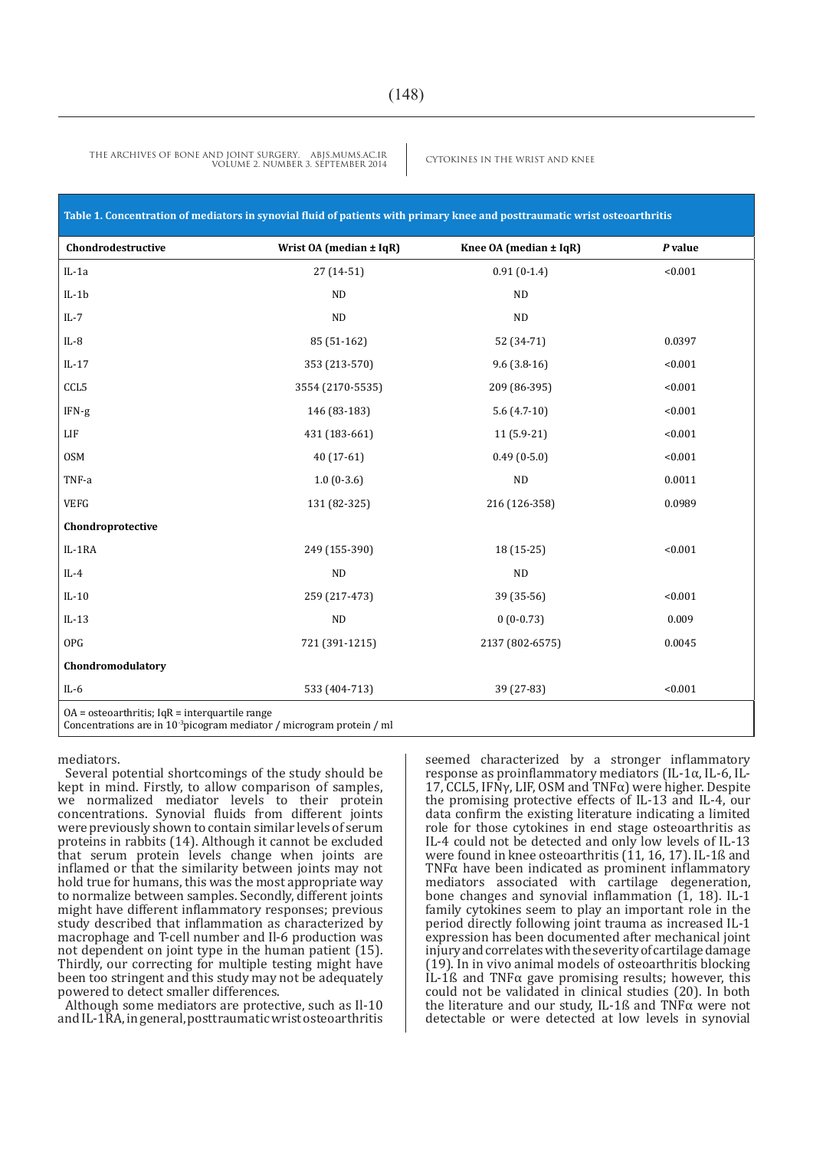| Table 1. Concentration of mediators in synovial fluid of patients with primary knee and posttraumatic wrist osteoarthritis             |                             |                               |         |
|----------------------------------------------------------------------------------------------------------------------------------------|-----------------------------|-------------------------------|---------|
| Chondrodestructive                                                                                                                     | Wrist $OA (median \pm IqR)$ | Knee $OA$ (median $\pm IqR$ ) | P value |
| $IL-1a$                                                                                                                                | $27(14-51)$                 | $0.91(0-1.4)$                 | < 0.001 |
| $IL-1b$                                                                                                                                | ND                          | ND                            |         |
| $IL-7$                                                                                                                                 | ND                          | ND                            |         |
| $IL-8$                                                                                                                                 | 85 (51-162)                 | 52 (34-71)                    | 0.0397  |
| $IL-17$                                                                                                                                | 353 (213-570)               | $9.6(3.8-16)$                 | < 0.001 |
| CCL5                                                                                                                                   | 3554 (2170-5535)            | 209 (86-395)                  | < 0.001 |
| $IFN-g$                                                                                                                                | 146 (83-183)                | $5.6(4.7-10)$                 | < 0.001 |
| ${\rm LIF}$                                                                                                                            | 431 (183-661)               | $11(5.9-21)$                  | < 0.001 |
| <b>OSM</b>                                                                                                                             | $40(17-61)$                 | $0.49(0-5.0)$                 | < 0.001 |
| TNF-a                                                                                                                                  | $1.0(0-3.6)$                | $\rm ND$                      | 0.0011  |
| <b>VEFG</b>                                                                                                                            | 131 (82-325)                | 216 (126-358)                 | 0.0989  |
| Chondroprotective                                                                                                                      |                             |                               |         |
| IL-1RA                                                                                                                                 | 249 (155-390)               | $18(15-25)$                   | < 0.001 |
| $IL-4$                                                                                                                                 | ND                          | ND                            |         |
| $IL-10$                                                                                                                                | 259 (217-473)               | 39 (35-56)                    | < 0.001 |
| $IL-13$                                                                                                                                | ND                          | $0(0-0.73)$                   | 0.009   |
| OPG                                                                                                                                    | 721 (391-1215)              | 2137 (802-6575)               | 0.0045  |
| Chondromodulatory                                                                                                                      |                             |                               |         |
| $IL-6$                                                                                                                                 | 533 (404-713)               | 39 (27-83)                    | < 0.001 |
| $OA = $ osteoarthritis; IqR = interquartile range<br>Concentrations are in 10 <sup>-3</sup> picogram mediator / microgram protein / ml |                             |                               |         |

mediators.

Several potential shortcomings of the study should be kept in mind. Firstly, to allow comparison of samples, we normalized mediator levels to their protein concentrations. Synovial fluids from different joints were previously shown to contain similar levels of serum proteins in rabbits (14). Although it cannot be excluded that serum protein levels change when joints are inflamed or that the similarity between joints may not hold true for humans, this was the most appropriate way to normalize between samples. Secondly, different joints might have different inflammatory responses; previous study described that inflammation as characterized by macrophage and T-cell number and Il-6 production was not dependent on joint type in the human patient (15). Thirdly, our correcting for multiple testing might have been too stringent and this study may not be adequately powered to detect smaller differences.

Although some mediators are protective, such as Il-10 and IL-1RA, in general, posttraumatic wrist osteoarthritis seemed characterized by a stronger inflammatory response as proinflammatory mediators (IL-1α, IL-6, IL-17, CCL5, IFN $\gamma$ , LIF, OSM and TNF $\alpha$ ) were higher. Despite the promising protective effects of IL-13 and IL-4, our data confirm the existing literature indicating a limited role for those cytokines in end stage osteoarthritis as IL-4 could not be detected and only low levels of IL-13 were found in knee osteoarthritis  $(11, 16, 17)$ . IL-1ß and TNF $\alpha$  have been indicated as prominent inflammatory mediators associated with cartilage degeneration, bone changes and synovial inflammation  $(1, 18)$ . IL-1 family cytokines seem to play an important role in the period directly following joint trauma as increased IL-1 expression has been documented after mechanical joint injury and correlates with the severity of cartilage damage (19). In in vivo animal models of osteoarthritis blocking IL-1ß and TNF $\alpha$  gave promising results; however, this could not be validated in clinical studies (20). In both the literature and our study, IL-1ß and TNFα were not detectable or were detected at low levels in synovial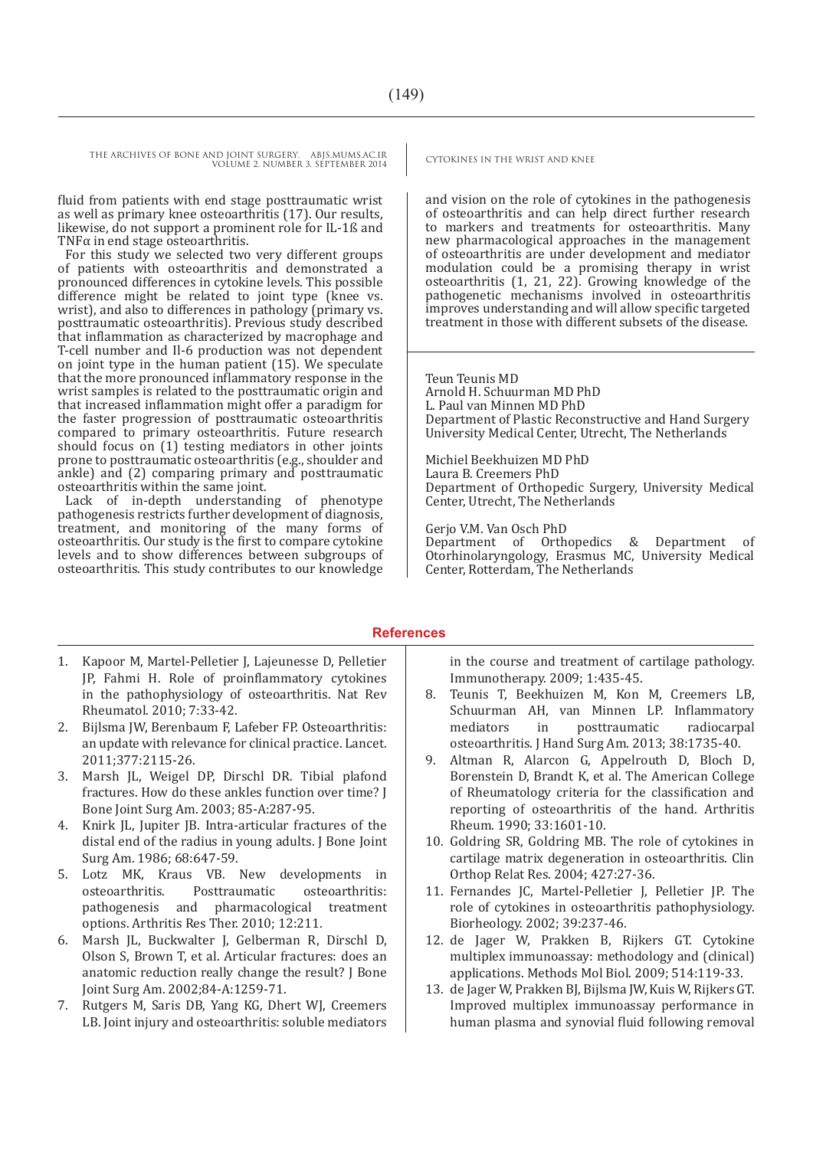fluid from patients with end stage posttraumatic wrist as well as primary knee osteoarthritis (17). Our results, likewise, do not support a prominent role for IL-1ß and TNF $\alpha$  in end stage osteoarthritis.

For this study we selected two very different groups of patients with osteoarthritis and demonstrated a pronounced differences in cytokine levels. This possible difference might be related to joint type (knee vs. wrist), and also to differences in pathology (primary vs. posttraumatic osteoarthritis). Previous study described that inflammation as characterized by macrophage and T-cell number and Il-6 production was not dependent on joint type in the human patient (15). We speculate that the more pronounced inflammatory response in the wrist samples is related to the posttraumatic origin and that increased inflammation might offer a paradigm for the faster progression of posttraumatic osteoarthritis compared to primary osteoarthritis. Future research should focus on (1) testing mediators in other joints prone to posttraumatic osteoarthritis (e.g., shoulder and ankle) and (2) comparing primary and posttraumatic osteoarthritis within the same joint.

Lack of in-depth understanding of phenotype pathogenesis restricts further development of diagnosis, treatment, and monitoring of the many forms of osteoarthritis. Our study is the first to compare cytokine levels and to show differences between subgroups of osteoarthritis. This study contributes to our knowledge

and vision on the role of cytokines in the pathogenesis of osteoarthritis and can help direct further research to markers and treatments for osteoarthritis. Many new pharmacological approaches in the management of osteoarthritis are under development and mediator modulation could be a promising therapy in wrist osteoarthritis (1, 21, 22). Growing knowledge of the pathogenetic mechanisms involved in osteoarthritis improves understanding and will allow specific targeted treatment in those with different subsets of the disease.

Teun Teunis MD Arnold H. Schuurman MD PhD L. Paul van Minnen MD PhD Department of Plastic Reconstructive and Hand Surgery University Medical Center, Utrecht, The Netherlands

Michiel Beekhuizen MD PhD Laura B. Creemers PhD Department of Orthopedic Surgery, University Medical Center, Utrecht, The Netherlands

Gerjo V.M. Van Osch PhD Department of Orthopedics & Department of Otorhinolaryngology, Erasmus MC, University Medical Center, Rotterdam, The Netherlands

#### **References**

- 1. Kapoor M, Martel-Pelletier J, Lajeunesse D, Pelletier JP, Fahmi H. Role of proinflammatory cytokines in the pathophysiology of osteoarthritis. Nat Rev Rheumatol. 2010; 7:33-42.
- 2. Bijlsma JW, Berenbaum F, Lafeber FP. Osteoarthritis: an update with relevance for clinical practice. Lancet. 2011;377:2115-26.
- 3. Marsh JL, Weigel DP, Dirschl DR. Tibial plafond fractures. How do these ankles function over time? J Bone Joint Surg Am. 2003; 85-A:287-95.
- 4. Knirk JL, Jupiter JB. Intra-articular fractures of the distal end of the radius in young adults. J Bone Joint Surg Am. 1986; 68:647-59.
- 5. Lotz MK, Kraus VB. New developments in osteoarthritis. Posttraumatic osteoarthritis: pharmacological treatment options. Arthritis Res Ther. 2010; 12:211.
- 6. Marsh JL, Buckwalter J, Gelberman R, Dirschl D, Olson S, Brown T, et al. Articular fractures: does an anatomic reduction really change the result? J Bone Joint Surg Am. 2002;84-A:1259-71.
- 7. Rutgers M, Saris DB, Yang KG, Dhert WJ, Creemers LB. Joint injury and osteoarthritis: soluble mediators

in the course and treatment of cartilage pathology. Immunotherapy. 2009; 1:435-45.

- 8. Teunis T, Beekhuizen M, Kon M, Creemers LB, Schuurman AH, van Minnen LP. Inflammatory<br>mediators in posttraumatic radiocarpal posttraumatic osteoarthritis. J Hand Surg Am. 2013; 38:1735-40.
- 9. Altman R, Alarcon G, Appelrouth D, Bloch D, Borenstein D, Brandt K, et al. The American College of Rheumatology criteria for the classification and reporting of osteoarthritis of the hand. Arthritis Rheum. 1990; 33:1601-10.
- 10. Goldring SR, Goldring MB. The role of cytokines in cartilage matrix degeneration in osteoarthritis. Clin Orthop Relat Res. 2004; 427:27-36.
- 11. Fernandes JC, Martel-Pelletier J, Pelletier JP. The role of cytokines in osteoarthritis pathophysiology. Biorheology. 2002; 39:237-46.
- 12. de Jager W, Prakken B, Rijkers GT. Cytokine multiplex immunoassay: methodology and (clinical) applications. Methods Mol Biol. 2009; 514:119-33.
- 13. de Jager W, Prakken BJ, Bijlsma JW, Kuis W, Rijkers GT. Improved multiplex immunoassay performance in human plasma and synovial fluid following removal